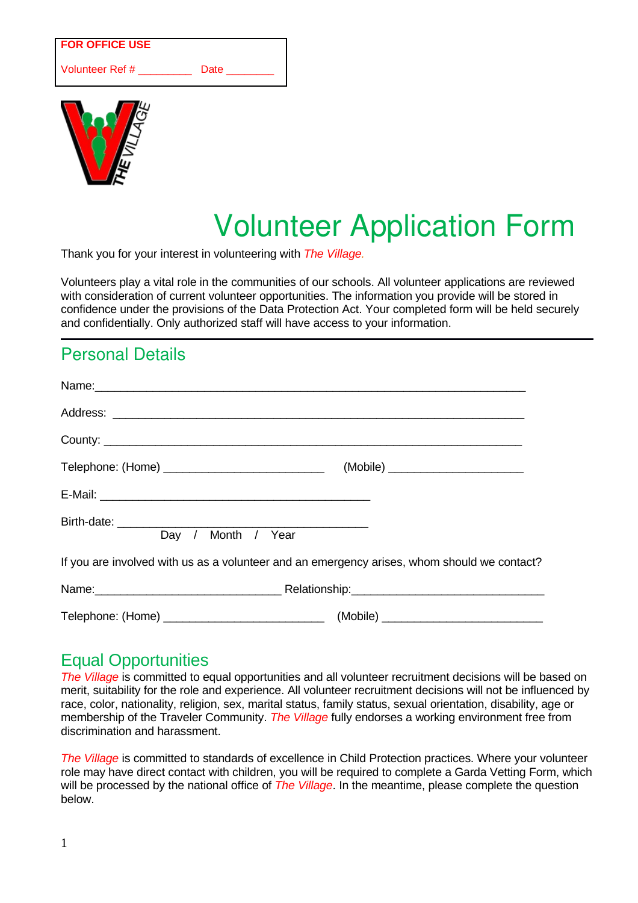#### **FOR OFFICE USE**

Volunteer Ref # \_\_\_\_\_\_\_\_\_ Date



# Volunteer Application Form

Thank you for your interest in volunteering with *The Village.*

Volunteers play a vital role in the communities of our schools. All volunteer applications are reviewed with consideration of current volunteer opportunities. The information you provide will be stored in confidence under the provisions of the Data Protection Act. Your completed form will be held securely and confidentially. Only authorized staff will have access to your information.

## Personal Details

| County:                                                                                     |  |
|---------------------------------------------------------------------------------------------|--|
|                                                                                             |  |
|                                                                                             |  |
| Day / Month / Year                                                                          |  |
| If you are involved with us as a volunteer and an emergency arises, whom should we contact? |  |
| Name: Relationship: Relationship: Relationship:                                             |  |
|                                                                                             |  |

#### Equal Opportunities

*The Village* is committed to equal opportunities and all volunteer recruitment decisions will be based on merit, suitability for the role and experience. All volunteer recruitment decisions will not be influenced by race, color, nationality, religion, sex, marital status, family status, sexual orientation, disability, age or membership of the Traveler Community. *The Village* fully endorses a working environment free from discrimination and harassment.

*The Village* is committed to standards of excellence in Child Protection practices. Where your volunteer role may have direct contact with children, you will be required to complete a Garda Vetting Form, which will be processed by the national office of *The Village*. In the meantime, please complete the question below.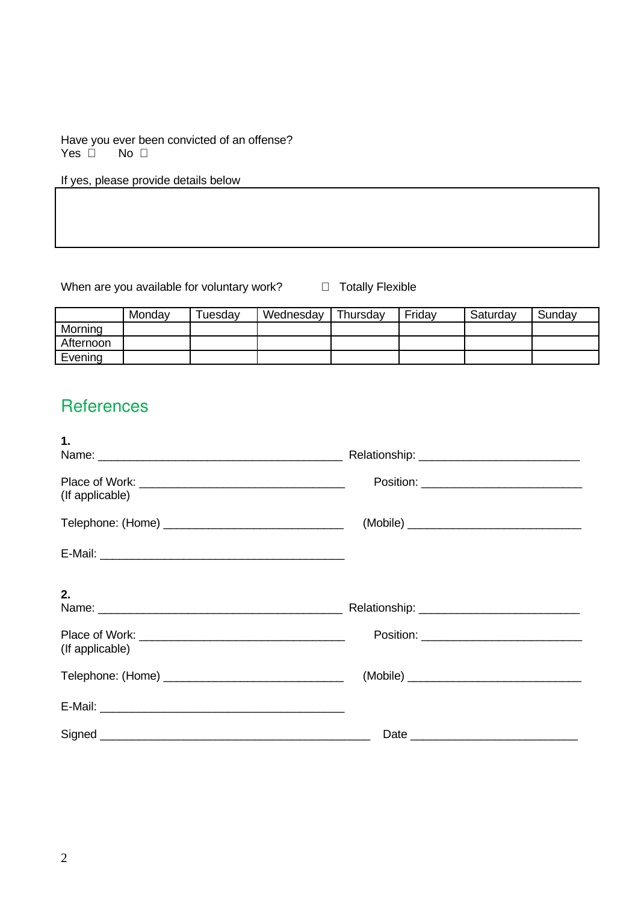Have you ever been convicted of an offense?<br>Yes  $\Box$  No  $\Box$  $Yes  $\Box$$ 

If yes, please provide details below

When are you available for voluntary work?  $\Box$  Totally Flexible

|           | Monday | Tuesdav | Wednesday | Thursday | Friday | Saturday | Sunday |
|-----------|--------|---------|-----------|----------|--------|----------|--------|
| Morning   |        |         |           |          |        |          |        |
| Afternoon |        |         |           |          |        |          |        |
| Evening   |        |         |           |          |        |          |        |

### **References**

| 1.              |  |
|-----------------|--|
| (If applicable) |  |
|                 |  |
|                 |  |
| 2.              |  |
| (If applicable) |  |
|                 |  |
|                 |  |
|                 |  |